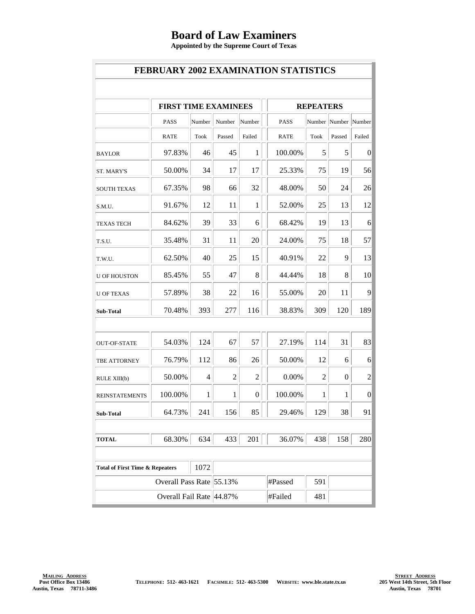## **Board of Law Examiners**

**Appointed by the Supreme Court of Texas**

| <b>FEBRUARY 2002 EXAMINATION STATISTICS</b>        |                             |        |                |                |                  |                |                      |                 |  |
|----------------------------------------------------|-----------------------------|--------|----------------|----------------|------------------|----------------|----------------------|-----------------|--|
|                                                    |                             |        |                |                |                  |                |                      |                 |  |
|                                                    | <b>FIRST TIME EXAMINEES</b> |        |                |                | <b>REPEATERS</b> |                |                      |                 |  |
|                                                    | <b>PASS</b>                 | Number | Number         | Number         | <b>PASS</b>      |                | Number Number Number |                 |  |
|                                                    | <b>RATE</b>                 | Took   | Passed         | Failed         | <b>RATE</b>      | Took           | Passed               | Failed          |  |
| <b>BAYLOR</b>                                      | 97.83%                      | 46     | 45             | 1              | 100.00%          | 5              | 5                    | $\vert 0 \vert$ |  |
| <b>ST. MARY'S</b>                                  | 50.00%                      | 34     | 17             | 17             | 25.33%           | 75             | 19                   | 56              |  |
| <b>SOUTH TEXAS</b>                                 | 67.35%                      | 98     | 66             | 32             | 48.00%           | 50             | 24                   | 26              |  |
| S.M.U.                                             | 91.67%                      | 12     | 11             | 1              | 52.00%           | 25             | 13                   | 12              |  |
| <b>TEXAS TECH</b>                                  | 84.62%                      | 39     | 33             | 6              | 68.42%           | 19             | 13                   | 6               |  |
| T.S.U.                                             | 35.48%                      | 31     | 11             | 20             | 24.00%           | 75             | 18                   | 57              |  |
| T.W.U.                                             | 62.50%                      | 40     | 25             | 15             | 40.91%           | 22             | 9                    | 13              |  |
| <b>U OF HOUSTON</b>                                | 85.45%                      | 55     | 47             | 8              | 44.44%           | 18             | 8                    | 10              |  |
| <b>U OF TEXAS</b>                                  | 57.89%                      | 38     | 22             | 16             | 55.00%           | 20             | 11                   | 9               |  |
| <b>Sub-Total</b>                                   | 70.48%                      | 393    | 277            | 116            | 38.83%           | 309            | 120                  | 189             |  |
|                                                    |                             |        |                |                |                  |                |                      |                 |  |
| <b>OUT-OF-STATE</b>                                | 54.03%                      | 124    | 67             | 57             | 27.19%           | 114            | 31                   | 83              |  |
| <b>TBE ATTORNEY</b>                                | 76.79%                      | 112    | 86             | 26             | 50.00%           | 12             | 6                    | 6               |  |
| RULE XIII(b)                                       | 50.00%                      | 4      | $\overline{2}$ | $\overline{2}$ | 0.00%            | $\overline{2}$ | 0                    | $\overline{c}$  |  |
| <b>REINSTATEMENTS</b>                              | 100.00%                     | 1      | 1              | $\overline{0}$ | 100.00%          | 1              | 1                    | $\vert 0 \vert$ |  |
| Sub-Total                                          | 64.73%                      | 241    | 156            | 85             | 29.46%           | 129            | 38                   | 91              |  |
|                                                    |                             |        |                |                |                  |                |                      |                 |  |
| <b>TOTAL</b>                                       | 68.30%                      | 634    | 433            | 201            | 36.07%           | 438            | 158                  | 280             |  |
|                                                    |                             |        |                |                |                  |                |                      |                 |  |
| 1072<br><b>Total of First Time &amp; Repeaters</b> |                             |        |                |                |                  |                |                      |                 |  |
| Overall Pass Rate 55.13%                           |                             |        |                |                | #Passed          | 591            |                      |                 |  |
|                                                    | Overall Fail Rate 44.87%    |        |                |                | #Failed          | 481            |                      |                 |  |